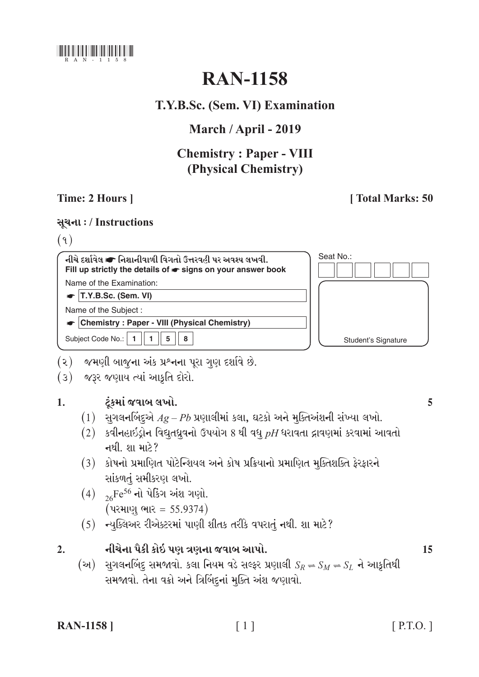

# **RAN-1158**

# T.Y.B.Sc. (Sem. VI) Examination

# March / April - 2019

# **Chemistry: Paper - VIII** (Physical Chemistry)

# Time: 2 Hours 1

# [Total Marks: 50]

# સૂચના: / Instructions

 $(9)$ 

નીચે દર્શાવેલ ☞ નિશાનીવાળી વિગતો ઉત્તરવહી પર અવશ્ય લખવી. Fill up strictly the details of  $\bullet$  signs on your answer book Name of the Examination:

 $\bullet$  T.Y.B.Sc. (Sem. VI)

Name of the Subject:

Chemistry: Paper - VIII (Physical Chemistry)

Subject Code No.: | 1  $1$  $5$  $\pmb{8}$ 



- (૨) જમણી બાજુના અંક પ્રશ્નના પૂરા ગુણ દર્શાવે છે.
- (3) જરૂર જણાય ત્યાં આકૃતિ દોરો.

#### ટંકમાં જવાબ લખો.  $\mathbf{1}$ .

- $(1)$  સુગલનબિંદુએ  $Ag-Pb$  પ્રણાલીમાં કલા, ઘટકો અને મુક્તિઅંશની સંખ્યા લખો.
- $(2)$  કવીનહાઇડ્રોન વિદ્યુતધ્રુવનો ઉપયોગ 8 થી વધુ  $pH$ ધરાવતા દ્રાવણમાં કરવામાં આવતો નથી શામારે?
- (3) કોષનો પ્રમાણિત પોટેન્શિયલ અને કોષ પ્રક્રિયાનો પ્રમાણિત મૂક્તિશક્તિ ફેરફારને સાંકળતું સમીકરણ લખો.
- $(4)$  <sub>26</sub>Fe<sup>56</sup> નો પેકિંગ અંશ ગણો. (પરમાણુ ભાર = 55.9374)
- $(5)$  ન્યૂક્લિઅર રીએક્ટરમાં પાણી શીતક તરીકે વપરાતું નથી. શા માટે?
- નીચેના પૈકી કોઇ પણ ત્રણના જવાબ આપો.  $\overline{2}$ .
	- (અ) સુગલનબિંદુ સમજાવો. કલા નિયમ વડે સલ્ફર પ્રણાલી  $S_R = S_M = S_L$  ને આકૃતિથી સમજાવો. તેના વક્રો અને ત્રિબિંદનાં મૂક્તિ અંશ જણાવો.

| <b>RAN-1158</b> |  |
|-----------------|--|
|-----------------|--|

15

5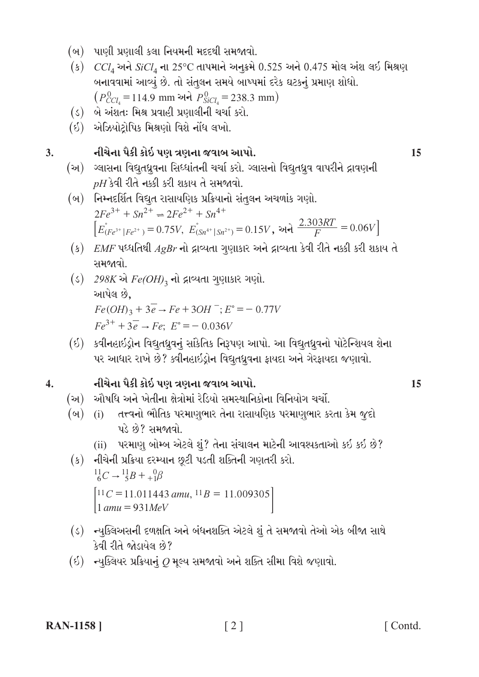- (બ) પાણી પ્રણાલી કલા નિયમની મદદથી સમજાવો.
- (ક)  $CCI<sub>4</sub>$  અને  $SiCl<sub>4</sub>$  ના 25°C તાપમાને અનુક્રમે 0.525 અને 0.475 મોલ અંશ લઈ મિશ્રણ બનાવવામાં આવ્યું છે. તો સંતુલન સમયે બાખ્પમાં દરેક ઘટકનું પ્રમાણ શોધો.  $(P_{CCl_4}^0 = 114.9$  mm અને  $P_{SiCl_4}^0 = 238.3$  mm)
- (ડ) બે અંશતઃ મિશ્ર પ્રવાહી પ્રણાલીની ચર્ચા કરો.
- (ઇ) એઝિયોટોપિક મિશ્રણો વિશે નોંધ લખો.

#### નીચેના પૈકી કોઇ પણ ત્રણના જવાબ આપો.  $3.$

- (અ) ગ્લાસના વિદ્યુતધ્રુવના સિધ્ધાંતની ચર્ચા કરો. ગ્લાસનો વિદ્યુતધ્રુવ વાપરીને દ્રાવણની  $pH$ કેવી રીતે નક્કી કરી શકાય તે સમજાવો.
- (બ) નિમ્નદર્શિત વિદ્યુત રાસાયણિક પ્રક્રિયાનો સંતુલન અચળાંક ગણો.  $2Fe^{3+} + Sn^{2+} \rightleftharpoons 2Fe^{2+} + Sn^{4+}$  $\left[E_{(Fe^{3+} \mid Fe^{2+})}^{\circ} = 0.75V, E_{(Sn^{4+} \mid Sn^{2+})}^{\circ} = 0.15V,$  અને  $\frac{2.303RT}{F} = 0.06V\right]$
- $(s)$   $EMF$  પધ્ધતિથી  $AgBr$  નો દ્રાવ્યતા ગુણાકાર અને દ્રાવ્યતા કેવી રીતે નક્કી કરી શકાય તે સમજાવો.
- $($ s) 298K એ  $Fe(OH)$ <sub>3</sub> નો દ્રાવ્યતા ગુણાકાર ગણો. આપેલ છે.  $Fe(OH)_3 + 3\overline{e} \rightarrow Fe + 3OH^-; E^{\circ} = -0.77V$  $Fe^{3+} + 3\overline{e} \rightarrow Fe$ ;  $E^{\circ} = -0.036V$
- (ઇ) કવીનહાઇડ્રોન વિદ્યુતધ્રુવનું સાંકેતિક નિરૂપણ આપો. આ વિદ્યુતધ્રુવનો પોટેન્શિયલ શેના પર આધાર રાખે છે? ક્વીનહાઇડ્રોન વિદ્યુતધ્રુવના ફાયદા અને ગેરફાયદા જણાવો.

#### નીચેના પૈકી કોઇ પણ ત્રણના જવાબ આપો.  $\overline{4}$ .

- (અ) ઔષધિ અને ખેતીના ક્ષેત્રોમાં રેડિયો સમસ્થાનિકોના વિનિયોગ ચર્ચો.
- (બ) (i) તત્ત્વનો ભૌતિક પરમાણુભાર તેના રાસાયણિક પરમાણુભાર કરતા કેમ જૂદો પડે છે? સમજાવો.
	- (ii) પરમાણુ બોમ્બ એટલે શું? તેના સંચાલન માટેની આવશ્યકતાઓ કઈ કઈ છે?
- (ક) નીચેની પ્રક્રિયા દરમ્યાન છૂટી પડતી શક્તિની ગણતરી કરો.  $^{11}_{6}C \rightarrow ^{11}_{5}B + ^{0}_{+1}\beta$  $[11C = 11.011443$  amu,  $11B = 11.009305]$  $amu = 931MeV$
- (ડ) ન્યૂક્લિઅસની દળક્ષતિ અને બંધનશક્તિ એટલે શું તે સમજાવો તેઓ એક બીજા સાથે કેવી રીતે જોડાયેલ છે?
- $(6)$  ન્યૂક્લિયર પ્રક્રિયાનું  $Q$  મૂલ્ય સમજાવો અને શક્તિ સીમા વિશે જણાવો.

15

15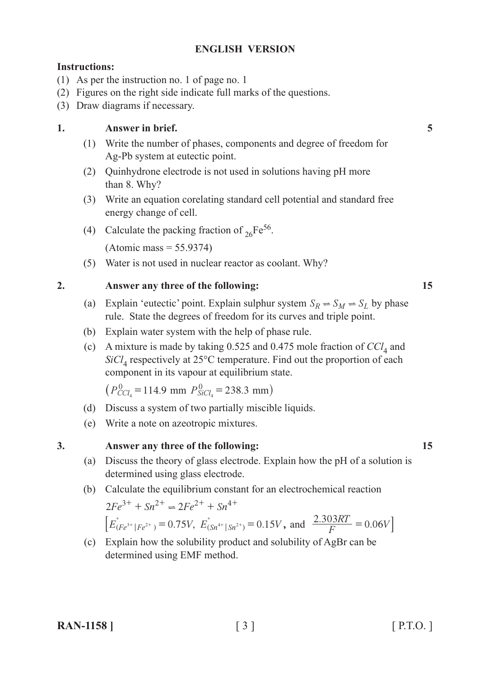## **ENGLISH VERSION**

### **Instructions:**

- (1) As per the instruction no. 1 of page no. 1
- (2) Figures on the right side indicate full marks of the questions.
- (3) Draw diagrams if necessary.

### **1. Answer in brief. 5**

- (1) Write the number of phases, components and degree of freedom for Ag-Pb system at eutectic point.
- (2) Quinhydrone electrode is not used in solutions having pH more than 8. Why?
- (3) Write an equation corelating standard cell potential and standard free energy change of cell.
- (4) Calculate the packing fraction of  $_{26}Fe^{56}$ .

(Atomic mass = 55.9374)

(5) Water is not used in nuclear reactor as coolant. Why?

### **2. Answer any three of the following: 15**

- (a) Explain 'eutectic' point. Explain sulphur system  $S_R \Rightarrow S_M \Rightarrow S_L$  by phase rule. State the degrees of freedom for its curves and triple point.
- (b) Explain water system with the help of phase rule.
- (c) A mixture is made by taking  $0.525$  and  $0.475$  mole fraction of  $CCl<sub>4</sub>$  and *SiCl*4 respectively at 25°C temperature. Find out the proportion of each component in its vapour at equilibrium state.

 $(P_{CCl_4}^0 = 114.9 \text{ mm } P_{SiCl_4}^0 = 238.3 \text{ mm})$ 

- (d) Discuss a system of two partially miscible liquids.
- (e) Write a note on azeotropic mixtures.

### **3. Answer any three of the following: 15**

- (a) Discuss the theory of glass electrode. Explain how the pH of a solution is determined using glass electrode.
- (b) Calculate the equilibrium constant for an electrochemical reaction  $2Fe^{3+} + Sn^{2+} \rightleftharpoons 2Fe^{2+} + Sn^{4+}$

 $\left[ E_{(Fe^{3+} \mid Fe^{2+})}^{\circ} = 0.75V, E_{(Sn^{4+} \mid Sn^{2+})}^{\circ} = 0.15V, \text{ and } \frac{2.303RT}{F} = 0.06V \right]$ 

(c) Explain how the solubility product and solubility of AgBr can be determined using EMF method.